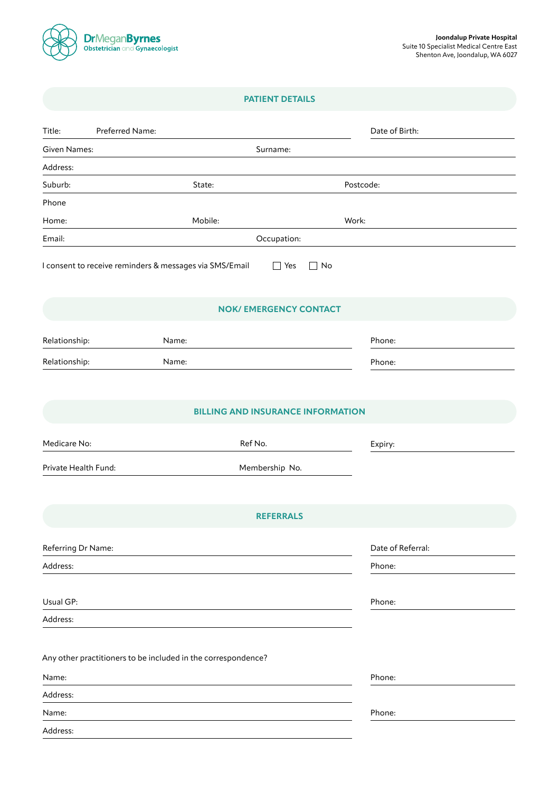

# **PATIENT DETAILS**

| Preferred Name:<br>Title:                                     |                                          |           | Date of Birth:    |
|---------------------------------------------------------------|------------------------------------------|-----------|-------------------|
| <b>Given Names:</b>                                           | Surname:                                 |           |                   |
| Address:                                                      |                                          |           |                   |
| Suburb:                                                       | State:                                   | Postcode: |                   |
| Phone                                                         |                                          |           |                   |
| Home:                                                         | Mobile:                                  | Work:     |                   |
| Email:                                                        | Occupation:                              |           |                   |
| I consent to receive reminders & messages via SMS/Email       | $\Box$ Yes                               | $\Box$ No |                   |
| <b>NOK/ EMERGENCY CONTACT</b>                                 |                                          |           |                   |
| Name:<br>Relationship:                                        |                                          |           | Phone:            |
| Relationship:<br>Name:                                        |                                          |           | Phone:            |
|                                                               |                                          |           |                   |
|                                                               | <b>BILLING AND INSURANCE INFORMATION</b> |           |                   |
| Medicare No:                                                  | Ref No.                                  |           | Expiry:           |
| Private Health Fund:                                          | Membership No.                           |           |                   |
|                                                               |                                          |           |                   |
| <b>REFERRALS</b>                                              |                                          |           |                   |
| Referring Dr Name:                                            |                                          |           | Date of Referral: |
| Address:                                                      |                                          |           | Phone:            |
|                                                               |                                          |           |                   |
| Usual GP:                                                     |                                          |           | Phone:            |
| Address:                                                      |                                          |           |                   |
|                                                               |                                          |           |                   |
| Any other practitioners to be included in the correspondence? |                                          |           |                   |
| Name:                                                         |                                          |           | Phone:            |
| Address:                                                      |                                          |           |                   |
| Name:                                                         |                                          |           | Phone:            |
| Address:                                                      |                                          |           |                   |